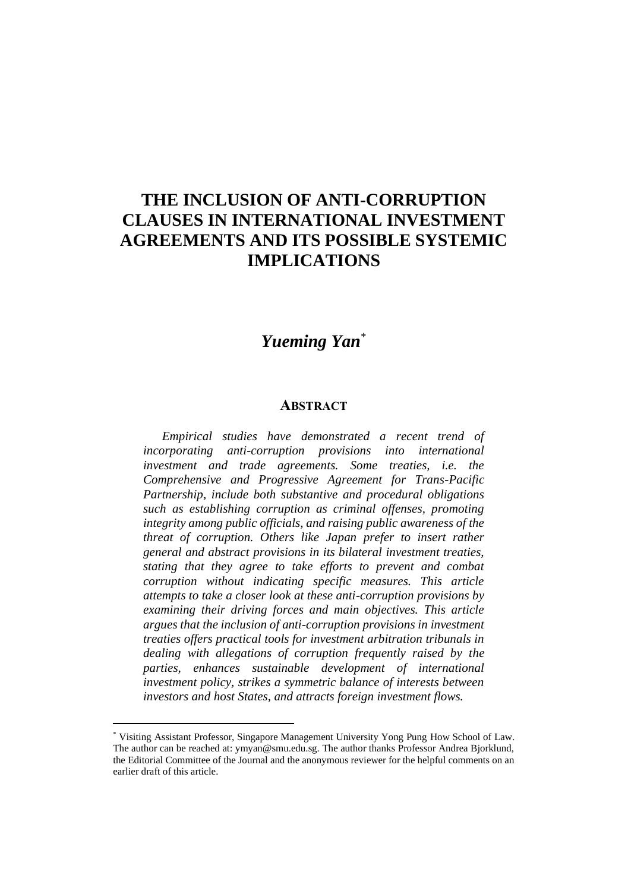## **THE INCLUSION OF ANTI-CORRUPTION CLAUSES IN INTERNATIONAL INVESTMENT AGREEMENTS AND ITS POSSIBLE SYSTEMIC IMPLICATIONS**

## *Yueming Yan*\*

## **ABSTRACT**

*Empirical studies have demonstrated a recent trend of incorporating anti-corruption provisions into international investment and trade agreements. Some treaties, i.e. the Comprehensive and Progressive Agreement for Trans-Pacific Partnership, include both substantive and procedural obligations such as establishing corruption as criminal offenses, promoting integrity among public officials, and raising public awareness of the threat of corruption. Others like Japan prefer to insert rather general and abstract provisions in its bilateral investment treaties, stating that they agree to take efforts to prevent and combat corruption without indicating specific measures. This article attempts to take a closer look at these anti-corruption provisions by examining their driving forces and main objectives. This article argues that the inclusion of anti-corruption provisions in investment treaties offers practical tools for investment arbitration tribunals in dealing with allegations of corruption frequently raised by the parties, enhances sustainable development of international investment policy, strikes a symmetric balance of interests between investors and host States, and attracts foreign investment flows.*

<sup>\*</sup> Visiting Assistant Professor, Singapore Management University Yong Pung How School of Law. The author can be reached at: ymyan@smu.edu.sg. The author thanks Professor Andrea Bjorklund, the Editorial Committee of the Journal and the anonymous reviewer for the helpful comments on an earlier draft of this article.